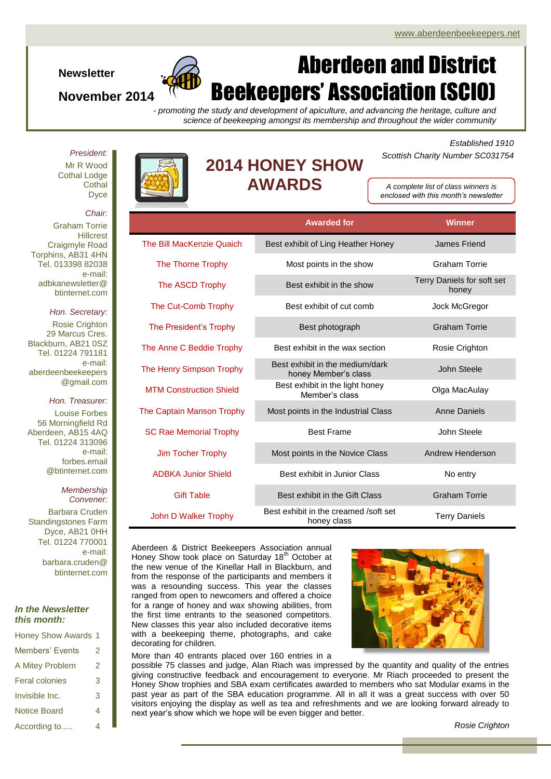**Newsletter**

## **November 2014**

# Aberdeen and District Beekeepers' Association (SCIO)

*- promoting the study and development of apiculture, and advancing the heritage, culture and science of beekeeping amongst its membership and throughout the wider community*

*President:* Mr R Wood Cothal Lodge **Cothal** Dyce



# **2014 HONEY SHOW AWARDS**

*Established 1910 Scottish Charity Number SC031754*

*A complete list of class winners is enclosed with this month's newsletter*

|                                | <b>Awarded for</b>                                      | <b>Winner</b>                       |
|--------------------------------|---------------------------------------------------------|-------------------------------------|
| The Bill MacKenzie Quaich      | Best exhibit of Ling Heather Honey                      | <b>James Friend</b>                 |
| The Thorne Trophy              | Most points in the show                                 | Graham Torrie                       |
| The ASCD Trophy                | Best exhibit in the show                                | Terry Daniels for soft set<br>honey |
| The Cut-Comb Trophy            | Best exhibit of cut comb                                | Jock McGregor                       |
| The President's Trophy         | Best photograph                                         | <b>Graham Torrie</b>                |
| The Anne C Beddie Trophy       | Best exhibit in the wax section                         | Rosie Crighton                      |
| The Henry Simpson Trophy       | Best exhibit in the medium/dark<br>honey Member's class | John Steele                         |
| <b>MTM Construction Shield</b> | Best exhibit in the light honey<br>Member's class       | Olga MacAulay                       |
| The Captain Manson Trophy      | Most points in the Industrial Class                     | <b>Anne Daniels</b>                 |
| <b>SC Rae Memorial Trophy</b>  | <b>Best Frame</b>                                       | John Steele                         |
| <b>Jim Tocher Trophy</b>       | Most points in the Novice Class                         | Andrew Henderson                    |
| <b>ADBKA Junior Shield</b>     | Best exhibit in Junior Class                            | No entry                            |
| <b>Gift Table</b>              | Best exhibit in the Gift Class                          | <b>Graham Torrie</b>                |
| John D Walker Trophy           | Best exhibit in the creamed /soft set<br>honey class    | <b>Terry Daniels</b>                |

Aberdeen & District Beekeepers Association annual Honey Show took place on Saturday 18<sup>th</sup> October at the new venue of the Kinellar Hall in Blackburn, and from the response of the participants and members it was a resounding success. This year the classes ranged from open to newcomers and offered a choice for a range of honey and wax showing abilities, from the first time entrants to the seasoned competitors. New classes this year also included decorative items with a beekeeping theme, photographs, and cake decorating for children.



possible 75 classes and judge, Alan Riach was impressed by the quantity and quality of the entries giving constructive feedback and encouragement to everyone. Mr Riach proceeded to present the Honey Show trophies and SBA exam certificates awarded to members who sat Modular exams in the past year as part of the SBA education programme. All in all it was a great success with over 50 visitors enjoying the display as well as tea and refreshments and we are looking forward already to next year's show which we hope will be even bigger and better. More than 40 entrants placed over 160 entries in a

## *Chair:*

Graham Torrie **Hillcrest** Craigmyle Road Torphins, AB31 4HN Tel. 013398 82038 e-mail: adbkanewsletter@ btinternet.com

#### *Hon. Secretary:*

Rosie Crighton 29 Marcus Cres. Blackburn, AB21 0SZ Tel. 01224 791181 e-mail: aberdeenbeekeepers @gmail.com

#### *Hon. Treasurer:*

Louise Forbes 56 Morningfield Rd Aberdeen, AB15 4AQ Tel. 01224 313096 e-mail: forbes.email @btinternet.com

#### *Membership Convener:*

Barbara Cruden Standingstones Farm Dyce, AB21 0HH Tel. 01224 770001 e-mail: barbara.cruden@ btinternet.com

### *In the Newsletter this month:*

| <b>Honey Show Awards 1</b> |   |
|----------------------------|---|
| Members' Events            | 2 |
| A Mitey Problem            | 2 |
| <b>Feral colonies</b>      | 3 |
| Invisible Inc.             |   |
| Notice Board               | 4 |
| According to               | 4 |

*Rosie Crighton*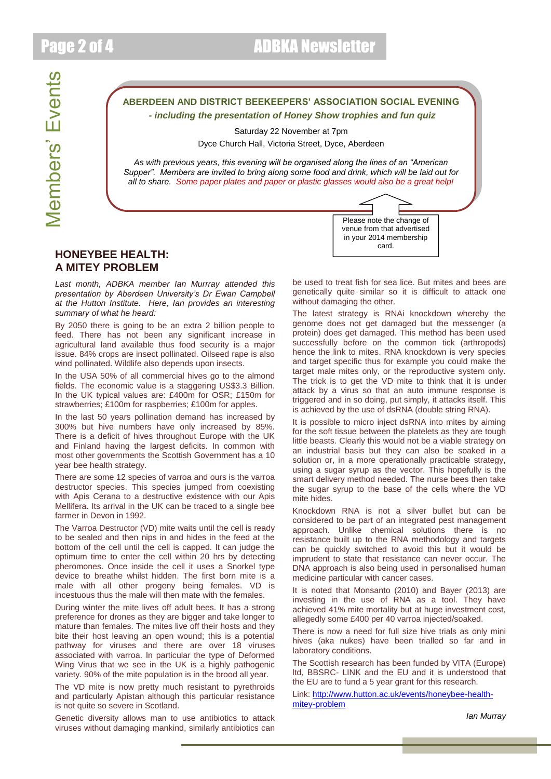# **ABERDEEN AND DISTRICT BEEKEEPERS' ASSOCIATION SOCIAL EVENING** *- including the presentation of Honey Show trophies and fun quiz*

Saturday 22 November at 7pm

Dyce Church Hall, Victoria Street, Dyce, Aberdeen

*As with previous years, this evening will be organised along the lines of an "American Supper". Members are invited to bring along some food and drink, which will be laid out for all to share. Some paper plates and paper or plastic glasses would also be a great help!*

## **HONEYBEE HEALTH: A MITEY PROBLEM**

*Last month, ADBKA member Ian Murrray attended this presentation by Aberdeen University's Dr Ewan Campbell at the Hutton Institute. Here, Ian provides an interesting summary of what he heard:*

By 2050 there is going to be an extra 2 billion people to feed. There has not been any significant increase in agricultural land available thus food security is a major issue. 84% crops are insect pollinated. Oilseed rape is also wind pollinated. Wildlife also depends upon insects.

In the USA 50% of all commercial hives go to the almond fields. The economic value is a staggering US\$3.3 Billion. In the UK typical values are: £400m for OSR; £150m for strawberries; £100m for raspberries; £100m for apples.

In the last 50 years pollination demand has increased by 300% but hive numbers have only increased by 85%. There is a deficit of hives throughout Europe with the UK and Finland having the largest deficits. In common with most other governments the Scottish Government has a 10 year bee health strategy.

There are some 12 species of varroa and ours is the varroa destructor species. This species jumped from coexisting with Apis Cerana to a destructive existence with our Apis Mellifera. Its arrival in the UK can be traced to a single bee farmer in Devon in 1992.

The Varroa Destructor (VD) mite waits until the cell is ready to be sealed and then nips in and hides in the feed at the bottom of the cell until the cell is capped. It can judge the optimum time to enter the cell within 20 hrs by detecting pheromones. Once inside the cell it uses a Snorkel type device to breathe whilst hidden. The first born mite is a male with all other progeny being females. VD is incestuous thus the male will then mate with the females.

During winter the mite lives off adult bees. It has a strong preference for drones as they are bigger and take longer to mature than females. The mites live off their hosts and they bite their host leaving an open wound; this is a potential pathway for viruses and there are over 18 viruses associated with varroa. In particular the type of Deformed Wing Virus that we see in the UK is a highly pathogenic variety. 90% of the mite population is in the brood all year.

The VD mite is now pretty much resistant to pyrethroids and particularly Apistan although this particular resistance is not quite so severe in Scotland.

Genetic diversity allows man to use antibiotics to attack viruses without damaging mankind, similarly antibiotics can be used to treat fish for sea lice. But mites and bees are genetically quite similar so it is difficult to attack one without damaging the other.

Please note the change of venue from that advertised in your 2014 membership card.

The latest strategy is RNAi knockdown whereby the genome does not get damaged but the messenger (a protein) does get damaged. This method has been used successfully before on the common tick (arthropods) hence the link to mites. RNA knockdown is very species and target specific thus for example you could make the target male mites only, or the reproductive system only. The trick is to get the VD mite to think that it is under attack by a virus so that an auto immune response is triggered and in so doing, put simply, it attacks itself. This is achieved by the use of dsRNA (double string RNA).

It is possible to micro inject dsRNA into mites by aiming for the soft tissue between the platelets as they are tough little beasts. Clearly this would not be a viable strategy on an industrial basis but they can also be soaked in a solution or, in a more operationally practicable strategy, using a sugar syrup as the vector. This hopefully is the smart delivery method needed. The nurse bees then take the sugar syrup to the base of the cells where the VD mite hides.

Knockdown RNA is not a silver bullet but can be considered to be part of an integrated pest management approach. Unlike chemical solutions there is no resistance built up to the RNA methodology and targets can be quickly switched to avoid this but it would be imprudent to state that resistance can never occur. The DNA approach is also being used in personalised human medicine particular with cancer cases.

It is noted that Monsanto (2010) and Bayer (2013) are investing in the use of RNA as a tool. They have achieved 41% mite mortality but at huge investment cost, allegedly some £400 per 40 varroa injected/soaked.

There is now a need for full size hive trials as only mini hives (aka nukes) have been trialled so far and in laboratory conditions.

The Scottish research has been funded by VITA (Europe) ltd, BBSRC- LINK and the EU and it is understood that the EU are to fund a 5 year grant for this research.

Link: [http://www.hutton.ac.uk/events/honeybee-health](http://www.hutton.ac.uk/events/honeybee-health-mitey-problem)[mitey-problem](http://www.hutton.ac.uk/events/honeybee-health-mitey-problem)

*Ian Murray*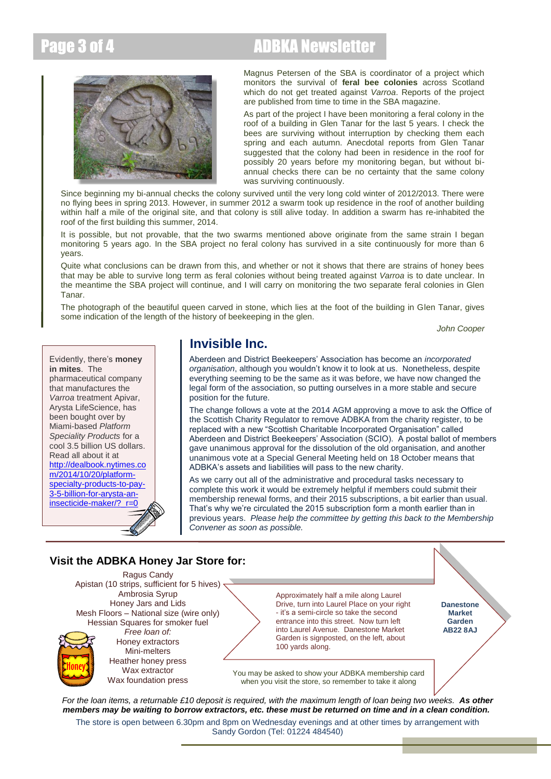# Page 3 of 4 ADBKA Newsletter



Magnus Petersen of the SBA is coordinator of a project which monitors the survival of **feral bee colonies** across Scotland which do not get treated against *Varroa*. Reports of the project are published from time to time in the SBA magazine.

As part of the project I have been monitoring a feral colony in the roof of a building in Glen Tanar for the last 5 years. I check the bees are surviving without interruption by checking them each spring and each autumn. Anecdotal reports from Glen Tanar suggested that the colony had been in residence in the roof for possibly 20 years before my monitoring began, but without biannual checks there can be no certainty that the same colony was surviving continuously.

Since beginning my bi-annual checks the colony survived until the very long cold winter of 2012/2013. There were no flying bees in spring 2013. However, in summer 2012 a swarm took up residence in the roof of another building within half a mile of the original site, and that colony is still alive today. In addition a swarm has re-inhabited the roof of the first building this summer, 2014.

It is possible, but not provable, that the two swarms mentioned above originate from the same strain I began monitoring 5 years ago. In the SBA project no feral colony has survived in a site continuously for more than 6 years.

Quite what conclusions can be drawn from this, and whether or not it shows that there are strains of honey bees that may be able to survive long term as feral colonies without being treated against *Varroa* is to date unclear. In the meantime the SBA project will continue, and I will carry on monitoring the two separate feral colonies in Glen Tanar.

The photograph of the beautiful queen carved in stone, which lies at the foot of the building in Glen Tanar, gives some indication of the length of the history of beekeeping in the glen.

*John Cooper*



# **Invisible Inc.**

Aberdeen and District Beekeepers' Association has become an *incorporated organisation*, although you wouldn't know it to look at us. Nonetheless, despite everything seeming to be the same as it was before, we have now changed the legal form of the association, so putting ourselves in a more stable and secure position for the future.

The change follows a vote at the 2014 AGM approving a move to ask the Office of the Scottish Charity Regulator to remove ADBKA from the charity register, to be replaced with a new "Scottish Charitable Incorporated Organisation" called Aberdeen and District Beekeepers' Association (SCIO). A postal ballot of members gave unanimous approval for the dissolution of the old organisation, and another unanimous vote at a Special General Meeting held on 18 October means that ADBKA's assets and liabilities will pass to the new charity.

As we carry out all of the administrative and procedural tasks necessary to complete this work it would be extremely helpful if members could submit their membership renewal forms, and their 2015 subscriptions, a bit earlier than usual. That's why we're circulated the 2015 subscription form a month earlier than in previous years. *Please help the committee by getting this back to the Membership Convener as soon as possible.*

# **Visit the ADBKA Honey Jar Store for:**

Ragus Candy Apistan (10 strips, sufficient for 5 hives) · Ambrosia Syrup Honey Jars and Lids Mesh Floors – National size (wire only) Hessian Squares for smoker fuel *Free loan of:* Honey extractors Mini-melters Heather honey press Wax extractor

Wax foundation press

Approximately half a mile along Laurel Drive, turn into Laurel Place on your right - it's a semi-circle so take the second entrance into this street. Now turn left into Laurel Avenue. Danestone Market Garden is signposted, on the left, about 100 yards along.

**Danestone Market Garden AB22 8AJ**

You may be asked to show your ADBKA membership card when you visit the store, so remember to take it along

*For the loan items, a returnable £10 deposit is required, with the maximum length of loan being two weeks. As other members may be waiting to borrow extractors, etc. these must be returned on time and in a clean condition.*

The store is open between 6.30pm and 8pm on Wednesday evenings and at other times by arrangement with Sandy Gordon (Tel: 01224 484540)